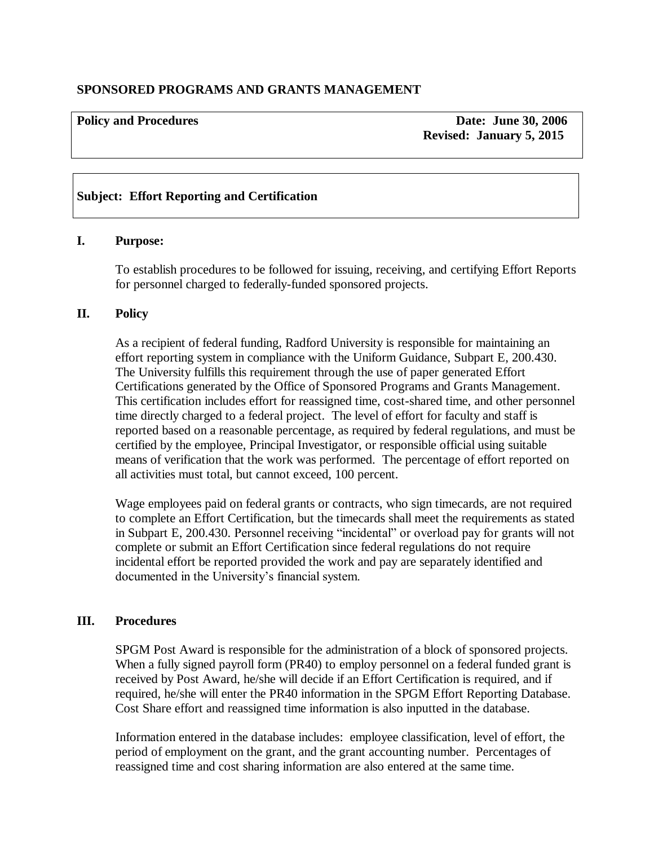# **SPONSORED PROGRAMS AND GRANTS MANAGEMENT**

# **Policy and Procedures Contract Contract Contract Contract Contract Contract Contract Contract Contract Contract Contract Contract Contract Contract Contract Contract Contract Contract Contract Contract Contract Contract C Revised: January 5, 2015**

# **Subject: Effort Reporting and Certification**

#### **I. Purpose:**

To establish procedures to be followed for issuing, receiving, and certifying Effort Reports for personnel charged to federally-funded sponsored projects.

# **II. Policy**

As a recipient of federal funding, Radford University is responsible for maintaining an effort reporting system in compliance with the Uniform Guidance, Subpart E, 200.430. The University fulfills this requirement through the use of paper generated Effort Certifications generated by the Office of Sponsored Programs and Grants Management. This certification includes effort for reassigned time, cost-shared time, and other personnel time directly charged to a federal project. The level of effort for faculty and staff is reported based on a reasonable percentage, as required by federal regulations, and must be certified by the employee, Principal Investigator, or responsible official using suitable means of verification that the work was performed. The percentage of effort reported on all activities must total, but cannot exceed, 100 percent.

Wage employees paid on federal grants or contracts, who sign timecards, are not required to complete an Effort Certification, but the timecards shall meet the requirements as stated in Subpart E, 200.430. Personnel receiving "incidental" or overload pay for grants will not complete or submit an Effort Certification since federal regulations do not require incidental effort be reported provided the work and pay are separately identified and documented in the University's financial system.

#### **III. Procedures**

SPGM Post Award is responsible for the administration of a block of sponsored projects. When a fully signed payroll form (PR40) to employ personnel on a federal funded grant is received by Post Award, he/she will decide if an Effort Certification is required, and if required, he/she will enter the PR40 information in the SPGM Effort Reporting Database. Cost Share effort and reassigned time information is also inputted in the database.

Information entered in the database includes: employee classification, level of effort, the period of employment on the grant, and the grant accounting number. Percentages of reassigned time and cost sharing information are also entered at the same time.